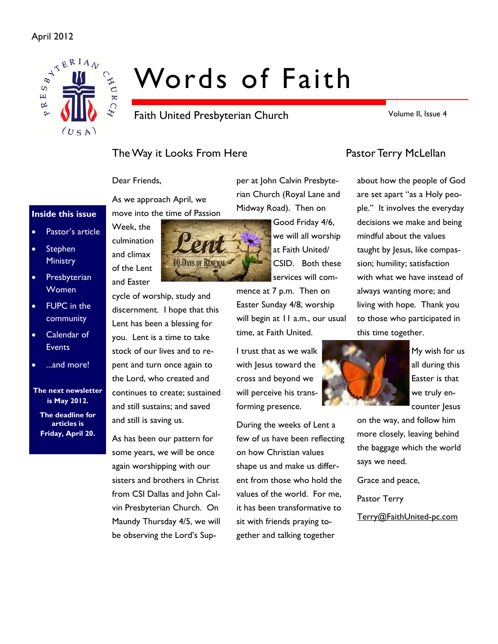

# Words of Faith

Faith United Presbyterian Church

Volume II, Issue 4

# The Way it Looks From Here **Pastor Terry McLellan**

Dear Friends,

As we approach April, we move into the time of Passion



cycle of worship, study and discernment. I hope that this Lent has been a blessing for you. Lent is a time to take stock of our lives and to repent and turn once again to the Lord, who created and continues to create; sustained and still sustains; and saved and still is saving us.

As has been our pattern for some years, we will be once again worshipping with our sisters and brothers in Christ from CSI Dallas and John Calvin Presbyterian Church. On Maundy Thursday 4/5, we will be observing the Lord's Supper at John Calvin Presbyterian Church (Royal Lane and Midway Road). Then on

> Good Friday 4/6, we will all worship at Faith United/ CSID. Both these services will com-

mence at 7 p.m. Then on Easter Sunday 4/8, worship will begin at 11 a.m., our usual time, at Faith United.

I trust that as we walk with Jesus toward the cross and beyond we will perceive his transforming presence.

During the weeks of Lent a few of us have been reflecting on how Christian values shape us and make us different from those who hold the values of the world. For me, it has been transformative to sit with friends praying together and talking together

about how the people of God are set apart "as a Holy people." It involves the everyday decisions we make and being mindful about the values taught by Jesus, like compassion; humility; satisfaction with what we have instead of always wanting more; and living with hope. Thank you to those who participated in this time together.



My wish for us all during this Easter is that we truly encounter Jesus

on the way, and follow him more closely, leaving behind the baggage which the world says we need.

Grace and peace,

Pastor Terry

Terry@FaithUnited-pc.com

Pastor's article culmination and climax of the Lent and Easter

**Presbyterian Women** 

Stephen **Ministry** 

**Inside this issue** 

- FUPC in the community
- Calendar of **Events**
- ...and more!

**The next newsletter is May 2012.** 

**The deadline for articles is Friday, April 20.**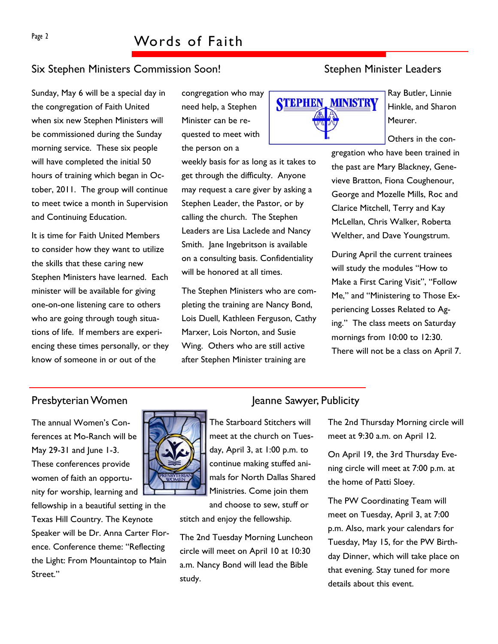# Six Stephen Ministers Commission Soon! Six Stephen Minister Leaders

Sunday, May 6 will be a special day in the congregation of Faith United when six new Stephen Ministers will be commissioned during the Sunday morning service. These six people will have completed the initial 50 hours of training which began in October, 2011. The group will continue to meet twice a month in Supervision and Continuing Education.

It is time for Faith United Members to consider how they want to utilize the skills that these caring new Stephen Ministers have learned. Each minister will be available for giving one-on-one listening care to others who are going through tough situations of life. If members are experiencing these times personally, or they know of someone in or out of the

congregation who may need help, a Stephen Minister can be requested to meet with the person on a

weekly basis for as long as it takes to get through the difficulty. Anyone may request a care giver by asking a Stephen Leader, the Pastor, or by calling the church. The Stephen Leaders are Lisa Laclede and Nancy Smith. Jane Ingebritson is available on a consulting basis. Confidentiality will be honored at all times.

The Stephen Ministers who are completing the training are Nancy Bond, Lois Duell, Kathleen Ferguson, Cathy Marxer, Lois Norton, and Susie Wing. Others who are still active after Stephen Minister training are



Ray Butler, Linnie Hinkle, and Sharon Meurer.

Others in the con-

gregation who have been trained in the past are Mary Blackney, Genevieve Bratton, Fiona Coughenour, George and Mozelle Mills, Roc and Clarice Mitchell, Terry and Kay McLellan, Chris Walker, Roberta Welther, and Dave Youngstrum.

During April the current trainees will study the modules "How to Make a First Caring Visit", "Follow Me," and "Ministering to Those Experiencing Losses Related to Aging." The class meets on Saturday mornings from 10:00 to 12:30. There will not be a class on April 7.

The annual Women's Conferences at Mo-Ranch will be May 29-31 and June 1-3. These conferences provide women of faith an opportunity for worship, learning and

fellowship in a beautiful setting in the Texas Hill Country. The Keynote Speaker will be Dr. Anna Carter Florence. Conference theme: "Reflecting the Light: From Mountaintop to Main Street."



The Starboard Stitchers will meet at the church on Tuesday, April 3, at 1:00 p.m. to continue making stuffed animals for North Dallas Shared Ministries. Come join them

and choose to sew, stuff or stitch and enjoy the fellowship.

The 2nd Tuesday Morning Luncheon circle will meet on April 10 at 10:30 a.m. Nancy Bond will lead the Bible study.

## Presbyterian Women Jeanne Sawyer, Publicity

The 2nd Thursday Morning circle will meet at 9:30 a.m. on April 12.

On April 19, the 3rd Thursday Evening circle will meet at 7:00 p.m. at the home of Patti Sloey.

The PW Coordinating Team will meet on Tuesday, April 3, at 7:00 p.m. Also, mark your calendars for Tuesday, May 15, for the PW Birthday Dinner, which will take place on that evening. Stay tuned for more details about this event.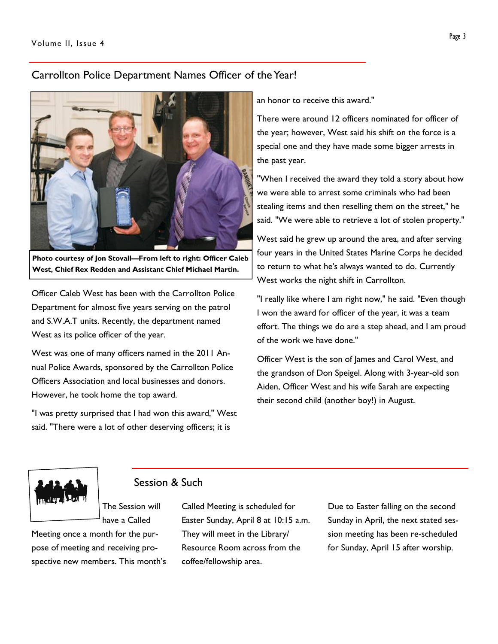# Carrollton Police Department Names Officer of the Year!



**Photo courtesy of Jon Stovall—From left to right: Officer Caleb West, Chief Rex Redden and Assistant Chief Michael Martin.** 

Officer Caleb West has been with the Carrollton Police Department for almost five years serving on the patrol and S.W.A.T units. Recently, the department named West as its police officer of the year.

West was one of many officers named in the 2011 Annual Police Awards, sponsored by the Carrollton Police Officers Association and local businesses and donors. However, he took home the top award.

"I was pretty surprised that I had won this award," West said. "There were a lot of other deserving officers; it is

an honor to receive this award."

There were around 12 officers nominated for officer of the year; however, West said his shift on the force is a special one and they have made some bigger arrests in the past year.

"When I received the award they told a story about how we were able to arrest some criminals who had been stealing items and then reselling them on the street," he said. "We were able to retrieve a lot of stolen property."

West said he grew up around the area, and after serving four years in the United States Marine Corps he decided to return to what he's always wanted to do. Currently West works the night shift in Carrollton.

"I really like where I am right now," he said. "Even though I won the award for officer of the year, it was a team effort. The things we do are a step ahead, and I am proud of the work we have done."

Officer West is the son of James and Carol West, and the grandson of Don Speigel. Along with 3-year-old son Aiden, Officer West and his wife Sarah are expecting their second child (another boy!) in August.



# Session & Such

The Session will have a Called Meeting once a month for the pur-

pose of meeting and receiving prospective new members. This month's Called Meeting is scheduled for Easter Sunday, April 8 at 10:15 a.m. They will meet in the Library/ Resource Room across from the coffee/fellowship area.

Due to Easter falling on the second Sunday in April, the next stated session meeting has been re-scheduled for Sunday, April 15 after worship.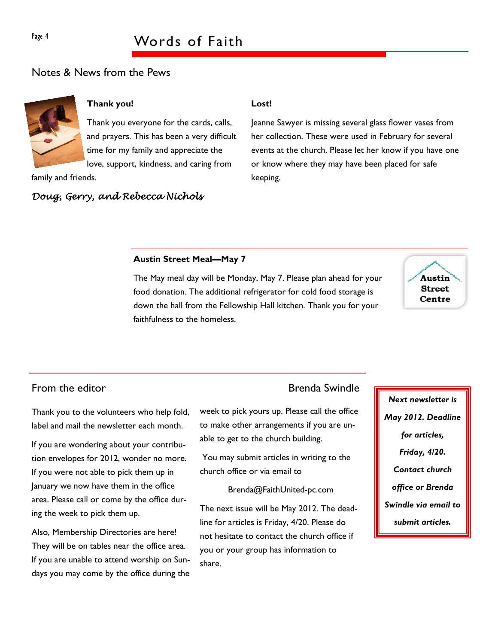# Page 4 Words of Faith

# Notes & News from the Pews



## **Thank you!**

Thank you everyone for the cards, calls, and prayers. This has been a very difficult time for my family and appreciate the love, support, kindness, and caring from

family and friends.

# *Doug, Gerry, and Rebecca Nichols*

### **Lost!**

Jeanne Sawyer is missing several glass flower vases from her collection. These were used in February for several events at the church. Please let her know if you have one or know where they may have been placed for safe keeping.

### **Austin Street Meal—May 7**

The May meal day will be Monday, May 7. Please plan ahead for your food donation. The additional refrigerator for cold food storage is down the hall from the Fellowship Hall kitchen. Thank you for your faithfulness to the homeless.



# From the editor **Brenda** Swindle

Thank you to the volunteers who help fold, label and mail the newsletter each month.

If you are wondering about your contribution envelopes for 2012, wonder no more. If you were not able to pick them up in January we now have them in the office area. Please call or come by the office during the week to pick them up.

Also, Membership Directories are here! They will be on tables near the office area. If you are unable to attend worship on Sundays you may come by the office during the

week to pick yours up. Please call the office to make other arrangements if you are unable to get to the church building.

 You may submit articles in writing to the church office or via email to

#### Brenda@FaithUnited-pc.com

The next issue will be May 2012. The deadline for articles is Friday, 4/20. Please do not hesitate to contact the church office if you or your group has information to share.

*Next newsletter is May 2012. Deadline for articles, Friday, 4/20. Contact church office or Brenda Swindle via email to submit articles.*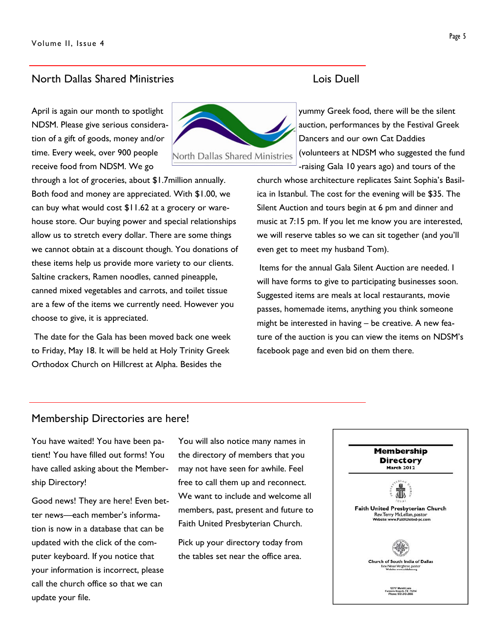## North Dallas Shared Ministries Lois Duell

April is again our month to spotlight NDSM. Please give serious consideration of a gift of goods, money and/or time. Every week, over 900 people receive food from NDSM. We go



through a lot of groceries, about \$1.7million annually. Both food and money are appreciated. With \$1.00, we can buy what would cost \$11.62 at a grocery or warehouse store. Our buying power and special relationships allow us to stretch every dollar. There are some things we cannot obtain at a discount though. You donations of these items help us provide more variety to our clients. Saltine crackers, Ramen noodles, canned pineapple, canned mixed vegetables and carrots, and toilet tissue are a few of the items we currently need. However you choose to give, it is appreciated.

 The date for the Gala has been moved back one week to Friday, May 18. It will be held at Holy Trinity Greek Orthodox Church on Hillcrest at Alpha. Besides the

yummy Greek food, there will be the silent auction, performances by the Festival Greek Dancers and our own Cat Daddies (volunteers at NDSM who suggested the fund -raising Gala 10 years ago) and tours of the

church whose architecture replicates Saint Sophia's Basilica in Istanbul. The cost for the evening will be \$35. The Silent Auction and tours begin at 6 pm and dinner and music at 7:15 pm. If you let me know you are interested, we will reserve tables so we can sit together (and you'll even get to meet my husband Tom).

 Items for the annual Gala Silent Auction are needed. I will have forms to give to participating businesses soon. Suggested items are meals at local restaurants, movie passes, homemade items, anything you think someone might be interested in having – be creative. A new feature of the auction is you can view the items on NDSM's facebook page and even bid on them there.

### Membership Directories are here!

You have waited! You have been patient! You have filled out forms! You have called asking about the Membership Directory!

Good news! They are here! Even better news—each member's information is now in a database that can be updated with the click of the computer keyboard. If you notice that your information is incorrect, please call the church office so that we can update your file.

You will also notice many names in the directory of members that you may not have seen for awhile. Feel free to call them up and reconnect. We want to include and welcome all members, past, present and future to Faith United Presbyterian Church.

Pick up your directory today from the tables set near the office area.

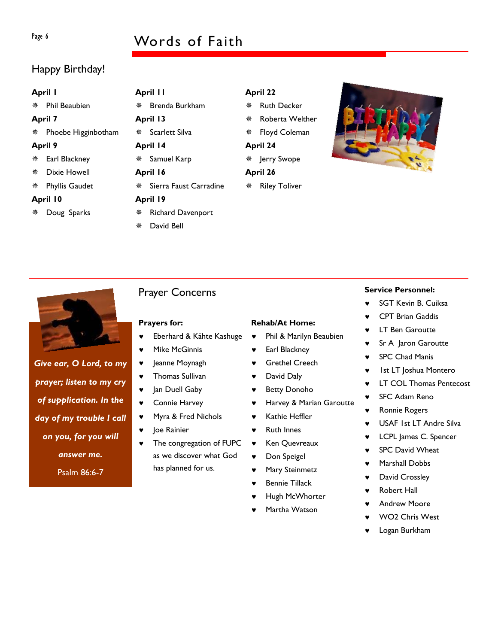# Page 6 Words of Faith

# Happy Birthday!

| April I        |                      | April II |                          |          | <b>April 22</b>      |  |
|----------------|----------------------|----------|--------------------------|----------|----------------------|--|
|                | <b>Phil Beaubien</b> |          | Brenda Burkham           | 榮        | <b>Ruth Decker</b>   |  |
| <b>April 7</b> |                      | April 13 |                          | 楽        | Roberta Welthe       |  |
|                | Phoebe Higginbotham  | ※ おんじょう  | Scarlett Silva           | ₩.       | Floyd Coleman        |  |
| <b>April 9</b> |                      | April 14 |                          | April 24 |                      |  |
|                | Earl Blackney        | ※ -      | Samuel Karp              |          | ※ Jerry Swope        |  |
| 豢              | Dixie Howell         | April 16 |                          | April 26 |                      |  |
| 豢              | Phyllis Gaudet       |          | Sierra Faust Carradine   |          | <b>Riley Toliver</b> |  |
| April 10       |                      | April 19 |                          |          |                      |  |
|                | Doug Sparks          |          | <b>Richard Davenport</b> |          |                      |  |
|                |                      | 鸒        | David Bell               |          |                      |  |

- ler
- 





*Give ear, O Lord, to my* 

*prayer; listen to my cry* 

*of supplication. In the* 

*day of my trouble I call* 

*on you, for you will* 

*answer me.* 

Psalm 86:6-7

## Prayer Concerns

#### **Prayers for:**

- Eberhard & Kähte Kashuge
- ♥ Mike McGinnis
- ♥ Jeanne Moynagh
- ♥ Thomas Sullivan
- ♥ Jan Duell Gaby
- ♥ Connie Harvey
- ♥ Myra & Fred Nichols
- Joe Rainier
- ♥ The congregation of FUPC as we discover what God has planned for us.

# **Rehab/At Home:**

- ♥ Phil & Marilyn Beaubien
- ♥ Earl Blackney
- ♥ Grethel Creech
- ♥ David Daly
- ♥ Betty Donoho
- Harvey & Marian Garoutte
- ♥ Kathie Heffler
- ♥ Ruth Innes
- ♥ Ken Quevreaux
- ♥ Don Speigel
- ♥ Mary Steinmetz
- **Bennie Tillack**
- Hugh McWhorter
- Martha Watson

#### **Service Personnel:**

- ♥ SGT Kevin B. Cuiksa
- **CPT Brian Gaddis**
- **LT Ben Garoutte**
- Sr A Jaron Garoutte
- ♥ SPC Chad Manis
- ♥ 1st LT Joshua Montero
- ♥ LT COL Thomas Pentecost
- SFC Adam Reno
- ♥ Ronnie Rogers
- ♥ USAF 1st LT Andre Silva
- ♥ LCPL James C. Spencer
- ♥ SPC David Wheat
- Marshall Dobbs
- ♥ David Crossley
- **Robert Hall**
- **Andrew Moore**
- WO<sub>2</sub> Chris West
- Logan Burkham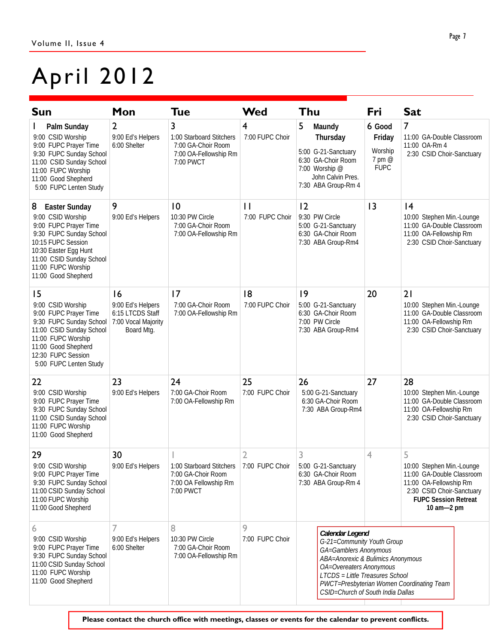# April 2012

| <b>Sun</b>                                                                                                                                                                                                                 | Mon                                                                                                                                   | Tue                                                                                       | Wed                             | Thu                                                                                                                                                                                                            | Fri                                                  | <b>Sat</b>                                                                                                                                                      |
|----------------------------------------------------------------------------------------------------------------------------------------------------------------------------------------------------------------------------|---------------------------------------------------------------------------------------------------------------------------------------|-------------------------------------------------------------------------------------------|---------------------------------|----------------------------------------------------------------------------------------------------------------------------------------------------------------------------------------------------------------|------------------------------------------------------|-----------------------------------------------------------------------------------------------------------------------------------------------------------------|
| Palm Sunday<br>9:00 CSID Worship<br>9:00 FUPC Prayer Time<br>9:30 FUPC Sunday School<br>11:00 CSID Sunday School<br>11:00 FUPC Worship<br>11:00 Good Shepherd<br>5:00 FUPC Lenten Study                                    | $\overline{2}$<br>9:00 Ed's Helpers<br>6:00 Shelter                                                                                   | 3<br>1:00 Starboard Stitchers<br>7:00 GA-Choir Room<br>7:00 OA-Fellowship Rm<br>7:00 PWCT | 4<br>7:00 FUPC Choir            | 5<br>Maundy<br>Thursday<br>5:00 G-21-Sanctuary<br>6:30 GA-Choir Room<br>7:00 Worship @<br>John Calvin Pres.<br>7:30 ABA Group-Rm 4                                                                             | 6 Good<br>Friday<br>Worship<br>7 pm @<br><b>FUPC</b> | 7<br>11:00 GA-Double Classroom<br>11:00 OA-Rm 4<br>2:30 CSID Choir-Sanctuary                                                                                    |
| 8<br><b>Easter Sunday</b><br>9:00 CSID Worship<br>9:00 FUPC Prayer Time<br>9:30 FUPC Sunday School<br>10:15 FUPC Session<br>10:30 Easter Egg Hunt<br>11:00 CSID Sunday School<br>11:00 FUPC Worship<br>11:00 Good Shepherd | 9<br>9:00 Ed's Helpers                                                                                                                | 10<br>10:30 PW Circle<br>7:00 GA-Choir Room<br>7:00 OA-Fellowship Rm                      | $\mathbf{H}$<br>7:00 FUPC Choir | 12<br>9:30 PW Circle<br>5:00 G-21-Sanctuary<br>6:30 GA-Choir Room<br>7:30 ABA Group-Rm4                                                                                                                        | $\overline{13}$                                      | 4<br>10:00 Stephen Min.-Lounge<br>11:00 GA-Double Classroom<br>11:00 OA-Fellowship Rm<br>2:30 CSID Choir-Sanctuary                                              |
| 15<br>9:00 CSID Worship<br>9:00 FUPC Prayer Time<br>9:30 FUPC Sunday School<br>11:00 CSID Sunday School<br>11:00 FUPC Worship<br>11:00 Good Shepherd<br>12:30 FUPC Session<br>5:00 FUPC Lenten Study                       | 17<br>16<br>9:00 Ed's Helpers<br>7:00 GA-Choir Room<br>7:00 OA-Fellowship Rm<br>6:15 LTCDS Staff<br>7:00 Vocal Majority<br>Board Mtg. |                                                                                           | 8<br>7:00 FUPC Choir            | 9<br>5:00 G-21-Sanctuary<br>6:30 GA-Choir Room<br>7:00 PW Circle<br>7:30 ABA Group-Rm4                                                                                                                         | 20                                                   | 21<br>10:00 Stephen Min.-Lounge<br>11:00 GA-Double Classroom<br>11:00 OA-Fellowship Rm<br>2:30 CSID Choir-Sanctuary                                             |
| 22<br>9:00 CSID Worship<br>9:00 FUPC Prayer Time<br>9:30 FUPC Sunday School<br>11:00 CSID Sunday School<br>11:00 FUPC Worship<br>11:00 Good Shepherd                                                                       | 24<br>23<br>9:00 Ed's Helpers<br>7:00 GA-Choir Room<br>7:00 OA-Fellowship Rm                                                          |                                                                                           | 25<br>7:00 FUPC Choir           | 26<br>5:00 G-21-Sanctuary<br>6:30 GA-Choir Room<br>7:30 ABA Group-Rm4                                                                                                                                          | 27                                                   | 28<br>10:00 Stephen Min.-Lounge<br>11:00 GA-Double Classroom<br>11:00 OA-Fellowship Rm<br>2:30 CSID Choir-Sanctuary                                             |
| 29<br>9:00 CSID Worship<br>9:00 FUPC Prayer Time<br>9:30 FUPC Sunday School<br>11:00 CSID Sunday School<br>11:00 FUPC Worship<br>11:00 Good Shepherd                                                                       | 30<br>1:00 Starboard Stitchers 7:00 FUPC Choir<br>9:00 Ed's Helpers<br>7:00 GA-Choir Room<br>7:00 OA Fellowship Rm<br>7:00 PWCT       |                                                                                           |                                 | 3<br>5:00 G-21-Sanctuary<br>6:30 GA-Choir Room<br>7:30 ABA Group-Rm 4                                                                                                                                          | 4                                                    | 5<br>10:00 Stephen Min.-Lounge<br>11:00 GA-Double Classroom<br>11:00 OA-Fellowship Rm<br>2:30 CSID Choir-Sanctuary<br><b>FUPC Session Retreat</b><br>10 am-2 pm |
| 6<br>9:00 CSID Worship<br>9:00 FUPC Prayer Time<br>9:30 FUPC Sunday School<br>11:00 CSID Sunday School<br>11:00 FUPC Worship<br>11:00 Good Shepherd                                                                        | 7<br>9:00 Ed's Helpers<br>6:00 Shelter                                                                                                | 8<br>10:30 PW Circle<br>7:00 GA-Choir Room<br>7:00 OA-Fellowship Rm                       | 9<br>7:00 FUPC Choir            | Calendar Legend<br>G-21=Community Youth Group<br>GA=Gamblers Anonymous<br>ABA=Anorexic & Bulimics Anonymous<br>OA=Overeaters Anonymous<br>LTCDS = Little Treasures School<br>CSID=Church of South India Dallas |                                                      | PWCT=Presbyterian Women Coordinating Team                                                                                                                       |

**Please contact the church office with meetings, classes or events for the calendar to prevent conflicts.**